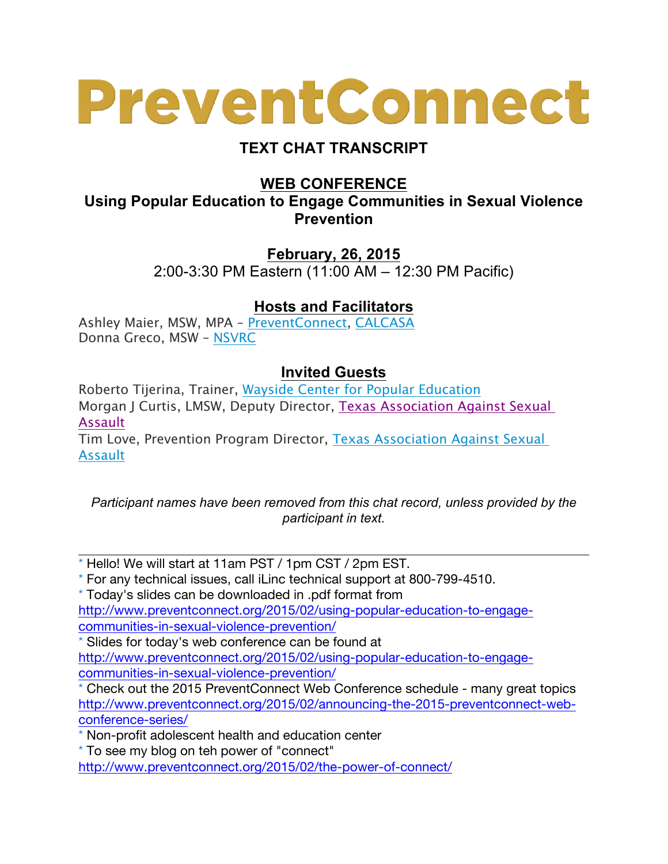## PreventConnect

## **TEXT CHAT TRANSCRIPT**

**WEB CONFERENCE**

**Using Popular Education to Engage Communities in Sexual Violence Prevention**

> **February, 26, 2015** 2:00-3:30 PM Eastern (11:00 AM – 12:30 PM Pacific)

## **Hosts and Facilitators**

Ashley Maier, MSW, MPA – PreventConnect, CALCASA Donna Greco, MSW – NSVRC

## **Invited Guests**

Roberto Tijerina, Trainer, Wayside Center for Popular Education Morgan J Curtis, LMSW, Deputy Director, Texas Association Against Sexual Assault

Tim Love, Prevention Program Director, Texas Association Against Sexual Assault

*Participant names have been removed from this chat record, unless provided by the participant in text.*

\* Hello! We will start at 11am PST / 1pm CST / 2pm EST.

\* For any technical issues, call iLinc technical support at 800-799-4510.

\* Today's slides can be downloaded in .pdf format from http://www.preventconnect.org/2015/02/using-popular-education-to-engagecommunities-in-sexual-violence-prevention/

\* Slides for today's web conference can be found at http://www.preventconnect.org/2015/02/using-popular-education-to-engage-

communities-in-sexual-violence-prevention/

\* Check out the 2015 PreventConnect Web Conference schedule - many great topics http://www.preventconnect.org/2015/02/announcing-the-2015-preventconnect-webconference-series/

\* Non-profit adolescent health and education center

\* To see my blog on teh power of "connect"

http://www.preventconnect.org/2015/02/the-power-of-connect/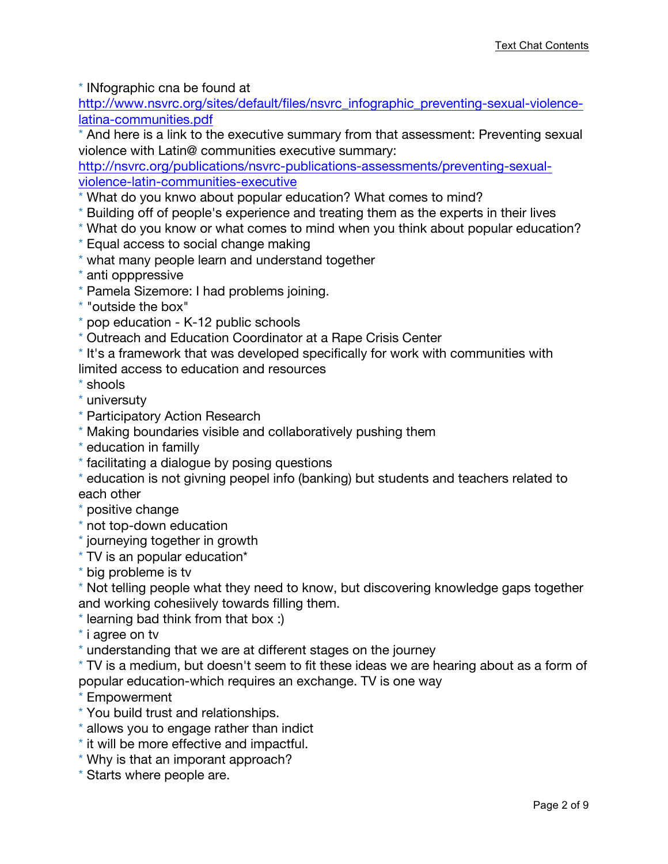\* INfographic cna be found at

http://www.nsvrc.org/sites/default/files/nsvrc\_infographic\_preventing-sexual-violencelatina-communities.pdf

\* And here is a link to the executive summary from that assessment: Preventing sexual violence with Latin@ communities executive summary:

http://nsvrc.org/publications/nsvrc-publications-assessments/preventing-sexualviolence-latin-communities-executive

- \* What do you knwo about popular education? What comes to mind?
- \* Building off of people's experience and treating them as the experts in their lives
- \* What do you know or what comes to mind when you think about popular education?
- \* Equal access to social change making
- \* what many people learn and understand together
- \* anti opppressive
- \* Pamela Sizemore: I had problems joining.
- \* "outside the box"
- \* pop education K-12 public schools
- \* Outreach and Education Coordinator at a Rape Crisis Center
- \* It's a framework that was developed specifically for work with communities with
- limited access to education and resources
- \* shools
- \* universuty
- \* Participatory Action Research
- \* Making boundaries visible and collaboratively pushing them
- \* education in familly
- \* facilitating a dialogue by posing questions
- \* education is not givning peopel info (banking) but students and teachers related to each other
- \* positive change
- \* not top-down education
- \* journeying together in growth
- \* TV is an popular education\*
- \* big probleme is tv

\* Not telling people what they need to know, but discovering knowledge gaps together and working cohesiively towards filling them.

- \* learning bad think from that box :)
- \* i agree on tv
- \* understanding that we are at different stages on the journey

\* TV is a medium, but doesn't seem to fit these ideas we are hearing about as a form of popular education-which requires an exchange. TV is one way

\* Empowerment

- \* You build trust and relationships.
- \* allows you to engage rather than indict
- \* it will be more effective and impactful.
- \* Why is that an imporant approach?
- \* Starts where people are.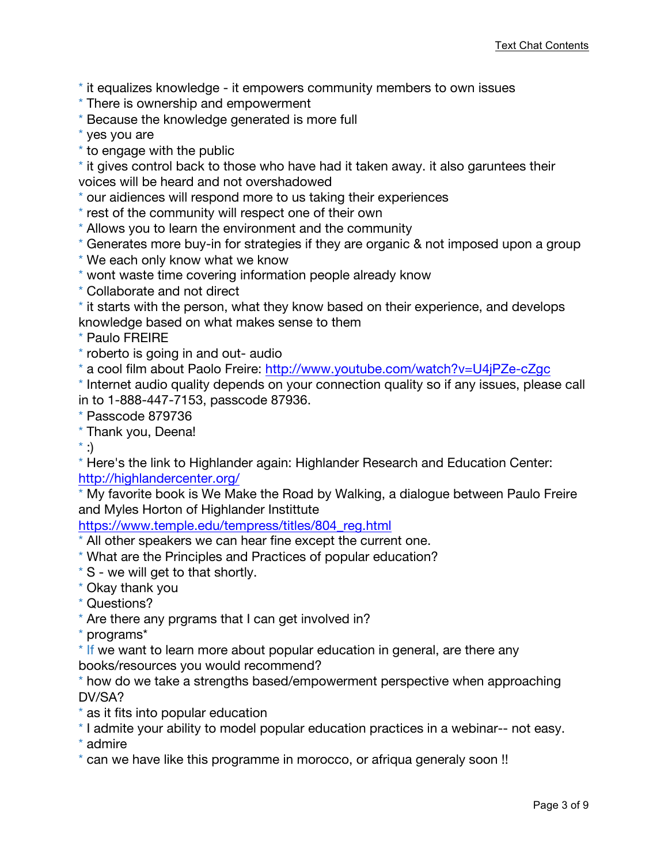\* it equalizes knowledge - it empowers community members to own issues

- \* There is ownership and empowerment
- \* Because the knowledge generated is more full
- \* yes you are
- \* to engage with the public

\* it gives control back to those who have had it taken away. it also garuntees their voices will be heard and not overshadowed

\* our aidiences will respond more to us taking their experiences

\* rest of the community will respect one of their own

\* Allows you to learn the environment and the community

- \* Generates more buy-in for strategies if they are organic & not imposed upon a group
- \* We each only know what we know
- \* wont waste time covering information people already know
- \* Collaborate and not direct

\* it starts with the person, what they know based on their experience, and develops knowledge based on what makes sense to them

\* Paulo FREIRE

- \* roberto is going in and out- audio
- \* a cool film about Paolo Freire: http://www.youtube.com/watch?v=U4jPZe-cZgc

\* Internet audio quality depends on your connection quality so if any issues, please call in to 1-888-447-7153, passcode 87936.

\* Passcode 879736

\* Thank you, Deena!

 $\left( : \right)$ 

\* Here's the link to Highlander again: Highlander Research and Education Center: http://highlandercenter.org/

\* My favorite book is We Make the Road by Walking, a dialogue between Paulo Freire and Myles Horton of Highlander Instittute

https://www.temple.edu/tempress/titles/804\_reg.html

- \* All other speakers we can hear fine except the current one.
- \* What are the Principles and Practices of popular education?
- $*$  S we will get to that shortly.
- \* Okay thank you
- \* Questions?
- \* Are there any prgrams that I can get involved in?

\* programs\*

\* If we want to learn more about popular education in general, are there any books/resources you would recommend?

\* how do we take a strengths based/empowerment perspective when approaching DV/SA?

- \* as it fits into popular education
- \* I admite your ability to model popular education practices in a webinar-- not easy.
- \* admire
- \* can we have like this programme in morocco, or afriqua generaly soon !!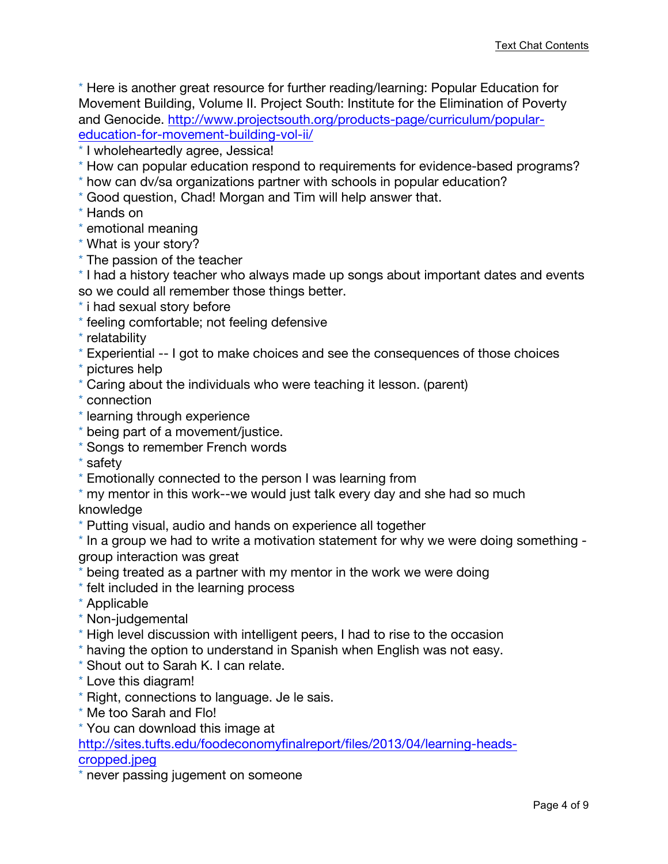\* Here is another great resource for further reading/learning: Popular Education for Movement Building, Volume II. Project South: Institute for the Elimination of Poverty and Genocide. http://www.projectsouth.org/products-page/curriculum/populareducation-for-movement-building-vol-ii/

\* I wholeheartedly agree, Jessica!

- \* How can popular education respond to requirements for evidence-based programs?
- \* how can dv/sa organizations partner with schools in popular education?
- \* Good question, Chad! Morgan and Tim will help answer that.
- \* Hands on
- \* emotional meaning
- \* What is your story?
- \* The passion of the teacher

\* I had a history teacher who always made up songs about important dates and events so we could all remember those things better.

- \* i had sexual story before
- \* feeling comfortable; not feeling defensive
- \* relatability
- \* Experiential -- I got to make choices and see the consequences of those choices
- \* pictures help
- \* Caring about the individuals who were teaching it lesson. (parent)
- \* connection
- \* learning through experience
- \* being part of a movement/justice.
- \* Songs to remember French words
- \* safety
- \* Emotionally connected to the person I was learning from
- \* my mentor in this work--we would just talk every day and she had so much knowledge
- \* Putting visual, audio and hands on experience all together

\* In a group we had to write a motivation statement for why we were doing something group interaction was great

- \* being treated as a partner with my mentor in the work we were doing
- \* felt included in the learning process
- \* Applicable
- \* Non-judgemental
- \* High level discussion with intelligent peers, I had to rise to the occasion
- \* having the option to understand in Spanish when English was not easy.
- \* Shout out to Sarah K. I can relate.
- \* Love this diagram!
- \* Right, connections to language. Je le sais.
- \* Me too Sarah and Flo!
- \* You can download this image at

http://sites.tufts.edu/foodeconomyfinalreport/files/2013/04/learning-headscropped.jpeg

\* never passing jugement on someone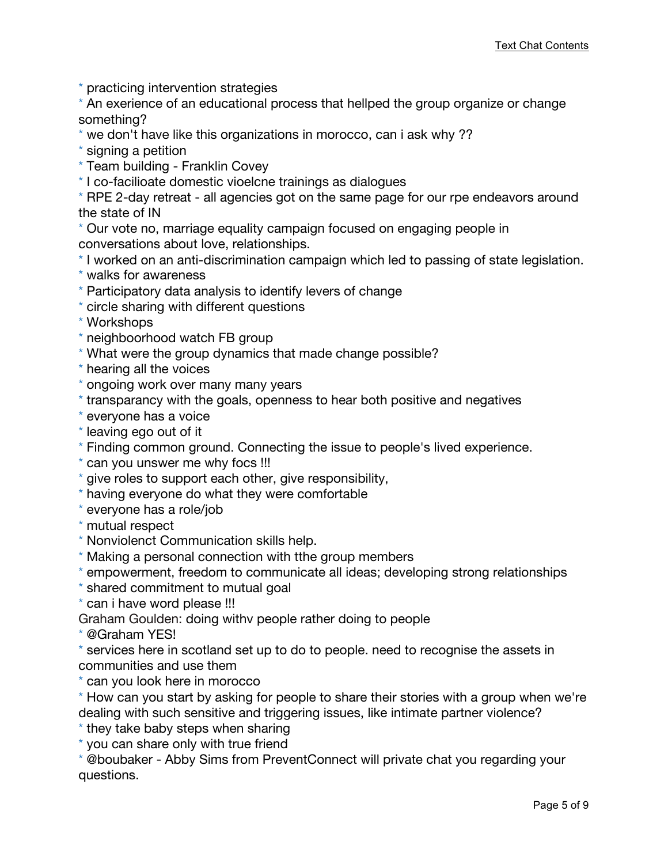\* practicing intervention strategies

\* An exerience of an educational process that hellped the group organize or change something?

- \* we don't have like this organizations in morocco, can i ask why ??
- \* signing a petition
- \* Team building Franklin Covey
- \* I co-facilioate domestic vioelcne trainings as dialogues
- \* RPE 2-day retreat all agencies got on the same page for our rpe endeavors around the state of IN

\* Our vote no, marriage equality campaign focused on engaging people in conversations about love, relationships.

- \* I worked on an anti-discrimination campaign which led to passing of state legislation.
- \* walks for awareness
- \* Participatory data analysis to identify levers of change
- \* circle sharing with different questions
- \* Workshops
- \* neighboorhood watch FB group
- \* What were the group dynamics that made change possible?
- \* hearing all the voices
- \* ongoing work over many many years
- \* transparancy with the goals, openness to hear both positive and negatives
- \* everyone has a voice
- \* leaving ego out of it
- \* Finding common ground. Connecting the issue to people's lived experience.
- \* can you unswer me why focs !!!
- \* give roles to support each other, give responsibility,
- \* having everyone do what they were comfortable
- \* everyone has a role/job
- \* mutual respect
- \* Nonviolenct Communication skills help.
- \* Making a personal connection with tthe group members
- \* empowerment, freedom to communicate all ideas; developing strong relationships
- \* shared commitment to mutual goal
- \* can i have word please !!!

Graham Goulden: doing withv people rather doing to people

\* @Graham YES!

\* services here in scotland set up to do to people. need to recognise the assets in communities and use them

- \* can you look here in morocco
- \* How can you start by asking for people to share their stories with a group when we're dealing with such sensitive and triggering issues, like intimate partner violence?
- \* they take baby steps when sharing
- \* you can share only with true friend

\* @boubaker - Abby Sims from PreventConnect will private chat you regarding your questions.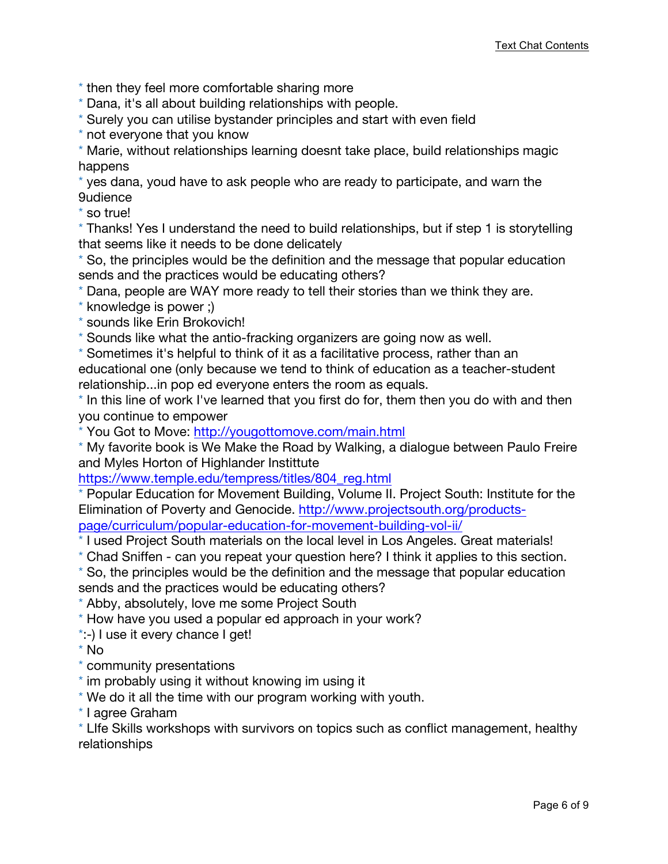- \* then they feel more comfortable sharing more
- \* Dana, it's all about building relationships with people.
- \* Surely you can utilise bystander principles and start with even field
- \* not everyone that you know

\* Marie, without relationships learning doesnt take place, build relationships magic happens

\* yes dana, youd have to ask people who are ready to participate, and warn the 9udience

\* so true!

\* Thanks! Yes I understand the need to build relationships, but if step 1 is storytelling that seems like it needs to be done delicately

\* So, the principles would be the definition and the message that popular education sends and the practices would be educating others?

\* Dana, people are WAY more ready to tell their stories than we think they are.

- \* knowledge is power ;)
- \* sounds like Erin Brokovich!

\* Sounds like what the antio-fracking organizers are going now as well.

\* Sometimes it's helpful to think of it as a facilitative process, rather than an educational one (only because we tend to think of education as a teacher-student relationship...in pop ed everyone enters the room as equals.

\* In this line of work I've learned that you first do for, them then you do with and then you continue to empower

\* You Got to Move: http://yougottomove.com/main.html

\* My favorite book is We Make the Road by Walking, a dialogue between Paulo Freire and Myles Horton of Highlander Instittute

https://www.temple.edu/tempress/titles/804\_reg.html

\* Popular Education for Movement Building, Volume II. Project South: Institute for the Elimination of Poverty and Genocide. http://www.projectsouth.org/productspage/curriculum/popular-education-for-movement-building-vol-ii/

\* I used Project South materials on the local level in Los Angeles. Great materials!

\* Chad Sniffen - can you repeat your question here? I think it applies to this section.

\* So, the principles would be the definition and the message that popular education

sends and the practices would be educating others?

\* Abby, absolutely, love me some Project South

\* How have you used a popular ed approach in your work?

\*:-) I use it every chance I get!

\* No

\* community presentations

\* im probably using it without knowing im using it

\* We do it all the time with our program working with youth.

\* I agree Graham

\* LIfe Skills workshops with survivors on topics such as conflict management, healthy relationships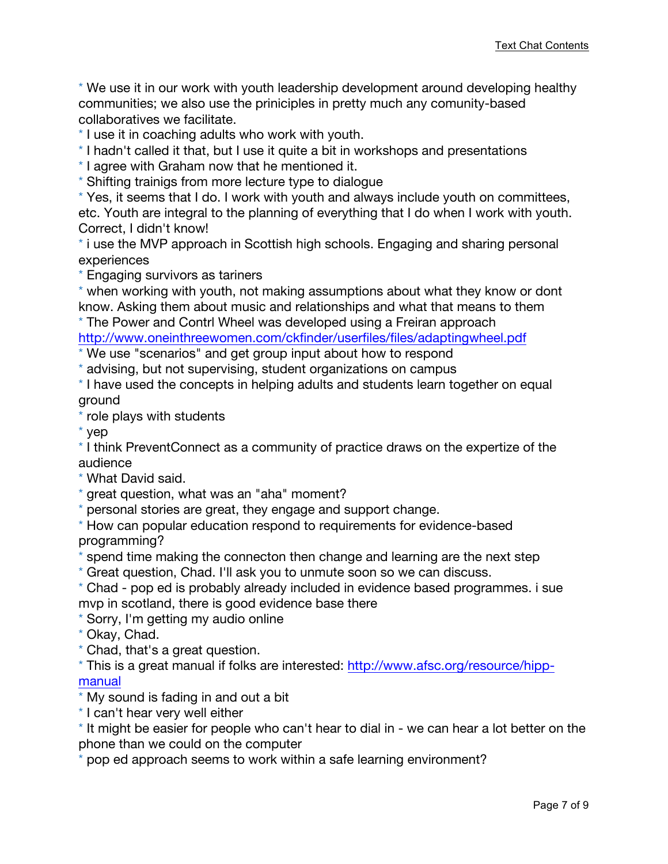\* We use it in our work with youth leadership development around developing healthy communities; we also use the priniciples in pretty much any comunity-based collaboratives we facilitate.

\* I use it in coaching adults who work with youth.

\* I hadn't called it that, but I use it quite a bit in workshops and presentations

\* I agree with Graham now that he mentioned it.

\* Shifting trainigs from more lecture type to dialogue

\* Yes, it seems that I do. I work with youth and always include youth on committees, etc. Youth are integral to the planning of everything that I do when I work with youth. Correct, I didn't know!

\* i use the MVP approach in Scottish high schools. Engaging and sharing personal experiences

\* Engaging survivors as tariners

\* when working with youth, not making assumptions about what they know or dont know. Asking them about music and relationships and what that means to them

\* The Power and Contrl Wheel was developed using a Freiran approach

http://www.oneinthreewomen.com/ckfinder/userfiles/files/adaptingwheel.pdf

\* We use "scenarios" and get group input about how to respond

\* advising, but not supervising, student organizations on campus

\* I have used the concepts in helping adults and students learn together on equal ground

\* role plays with students

\* yep

\* I think PreventConnect as a community of practice draws on the expertize of the audience

\* What David said.

\* great question, what was an "aha" moment?

\* personal stories are great, they engage and support change.

\* How can popular education respond to requirements for evidence-based programming?

spend time making the connecton then change and learning are the next step

\* Great question, Chad. I'll ask you to unmute soon so we can discuss.

\* Chad - pop ed is probably already included in evidence based programmes. i sue mvp in scotland, there is good evidence base there

\* Sorry, I'm getting my audio online

- \* Okay, Chad.
- \* Chad, that's a great question.

\* This is a great manual if folks are interested: http://www.afsc.org/resource/hippmanual

\* My sound is fading in and out a bit

\* I can't hear very well either

\* It might be easier for people who can't hear to dial in - we can hear a lot better on the phone than we could on the computer

pop ed approach seems to work within a safe learning environment?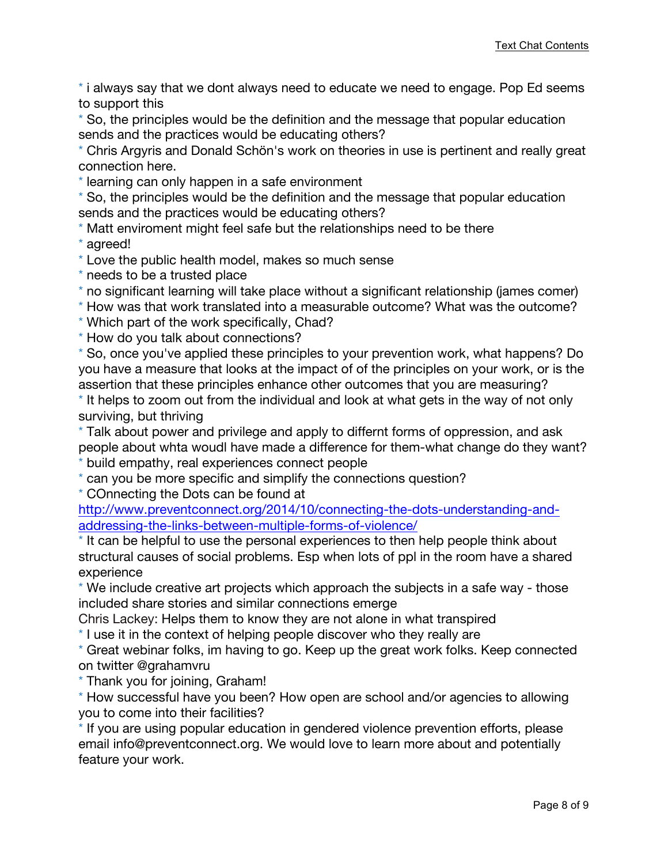\* i always say that we dont always need to educate we need to engage. Pop Ed seems to support this

\* So, the principles would be the definition and the message that popular education sends and the practices would be educating others?

\* Chris Argyris and Donald Schön's work on theories in use is pertinent and really great connection here.

\* learning can only happen in a safe environment

\* So, the principles would be the definition and the message that popular education sends and the practices would be educating others?

\* Matt enviroment might feel safe but the relationships need to be there

\* agreed!

\* Love the public health model, makes so much sense

\* needs to be a trusted place

\* no significant learning will take place without a significant relationship (james comer)

\* How was that work translated into a measurable outcome? What was the outcome?

\* Which part of the work specifically, Chad?

\* How do you talk about connections?

\* So, once you've applied these principles to your prevention work, what happens? Do you have a measure that looks at the impact of of the principles on your work, or is the assertion that these principles enhance other outcomes that you are measuring?

\* It helps to zoom out from the individual and look at what gets in the way of not only surviving, but thriving

\* Talk about power and privilege and apply to differnt forms of oppression, and ask people about whta woudl have made a difference for them-what change do they want? \* build empathy, real experiences connect people

\* can you be more specific and simplify the connections question?

\* COnnecting the Dots can be found at

http://www.preventconnect.org/2014/10/connecting-the-dots-understanding-andaddressing-the-links-between-multiple-forms-of-violence/

\* It can be helpful to use the personal experiences to then help people think about structural causes of social problems. Esp when lots of ppl in the room have a shared experience

\* We include creative art projects which approach the subjects in a safe way - those included share stories and similar connections emerge

Chris Lackey: Helps them to know they are not alone in what transpired

\* I use it in the context of helping people discover who they really are

\* Great webinar folks, im having to go. Keep up the great work folks. Keep connected on twitter @grahamvru

\* Thank you for joining, Graham!

\* How successful have you been? How open are school and/or agencies to allowing you to come into their facilities?

\* If you are using popular education in gendered violence prevention efforts, please email info@preventconnect.org. We would love to learn more about and potentially feature your work.